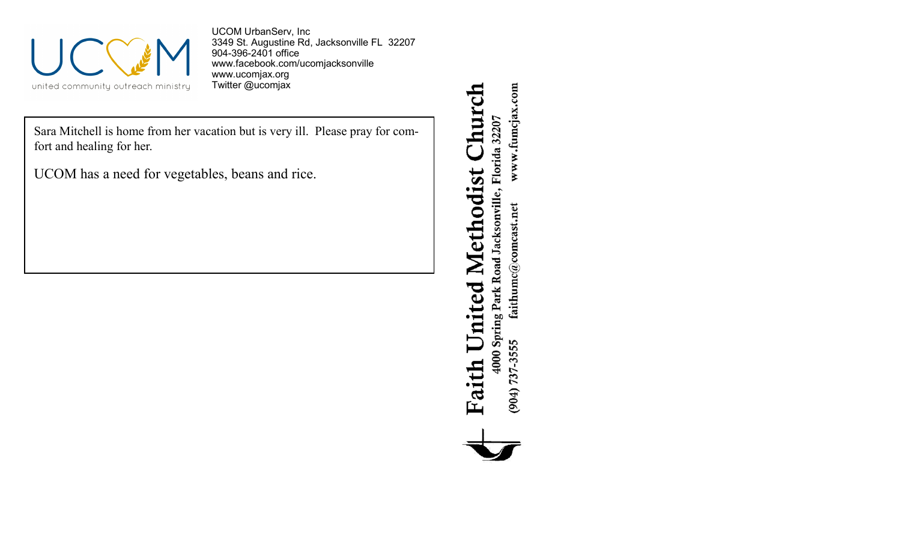

UCOM UrbanServ, Inc 3349 St. Augustine Rd, Jacksonville FL 32207 904-396-2401 office [www.facebook.com/ucomjacksonville](http://www.facebook.com/ucomjacksonville) [www.ucomjax.org](http://www.ucomjax.org) Twitter @ucomjax

Sara Mitchell is home from her vacation but is very ill. Please pray for comfort and healing for her.

UCOM has a need for vegetables, beans and rice.

Church 4000 Spring Park Road Jacksonville, Florida 32207 **Faith United Methodist** 

www.fumcjax.com  $\operatorname{faithume}(\mathcal{Q} \text{comes}, \text{net}$  $(904) 737 - 3555$